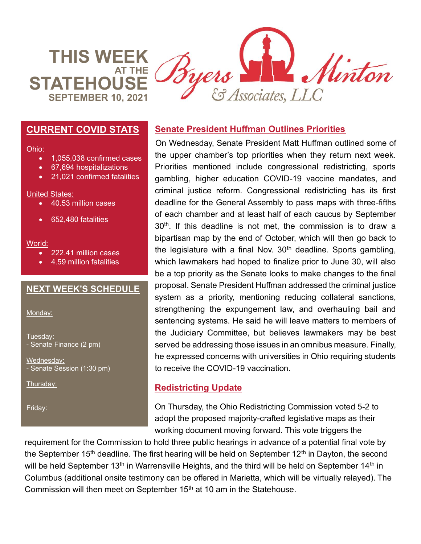**THIS WEEK AT THE STATEHOL SEPTEMBER 10, 2021**



### **CURRENT COVID STATS**

#### Ohio:

- 1,055,038 confirmed cases
- 67,694 hospitalizations
- 21,021 confirmed fatalities

#### United States:

- 40.53 million cases
- 652,480 fatalities

#### World:

- 222.41 million cases
- 4.59 million fatalities

### **NEXT WEEK'S SCHEDULE**

Monday:

Tuesday: - Senate Finance (2 pm)

Wednesday: - Senate Session (1:30 pm)

Thursday:

Friday:

## **Senate President Huffman Outlines Priorities**

On Wednesday, Senate President Matt Huffman outlined some of the upper chamber's top priorities when they return next week. Priorities mentioned include congressional redistricting, sports gambling, higher education COVID-19 vaccine mandates, and criminal justice reform. Congressional redistricting has its first deadline for the General Assembly to pass maps with three-fifths of each chamber and at least half of each caucus by September 30<sup>th</sup>. If this deadline is not met, the commission is to draw a bipartisan map by the end of October, which will then go back to the legislature with a final Nov.  $30<sup>th</sup>$  deadline. Sports gambling, which lawmakers had hoped to finalize prior to June 30, will also be a top priority as the Senate looks to make changes to the final proposal. Senate President Huffman addressed the criminal justice system as a priority, mentioning reducing collateral sanctions, strengthening the expungement law, and overhauling bail and sentencing systems. He said he will leave matters to members of the Judiciary Committee, but believes lawmakers may be best served be addressing those issues in an omnibus measure. Finally, he expressed concerns with universities in Ohio requiring students to receive the COVID-19 vaccination.

## **Redistricting Update**

On Thursday, the Ohio Redistricting Commission voted 5-2 to adopt the proposed majority-crafted legislative maps as their working document moving forward. This vote triggers the

requirement for the Commission to hold three public hearings in advance of a potential final vote by the September 15<sup>th</sup> deadline. The first hearing will be held on September 12<sup>th</sup> in Dayton, the second will be held September 13<sup>th</sup> in Warrensville Heights, and the third will be held on September 14<sup>th</sup> in Columbus (additional onsite testimony can be offered in Marietta, which will be virtually relayed). The Commission will then meet on September 15<sup>th</sup> at 10 am in the Statehouse.